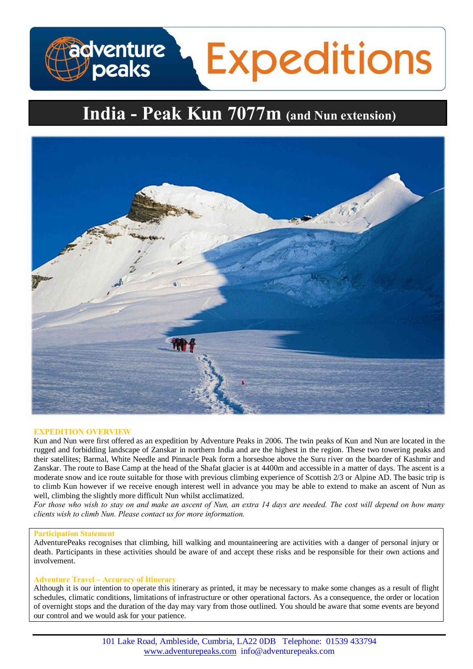# **Expeditions adventure**<br>J peaks

# **India - Peak Kun 7077m (and Nun extension)**



# **EXPEDITION OVERVIEW**

Kun and Nun were first offered as an expedition by Adventure Peaks in 2006. The twin peaks of Kun and Nun are located in the rugged and forbidding landscape of Zanskar in northern India and are the highest in the region. These two towering peaks and their satellites; Barmal, White Needle and Pinnacle Peak form a horseshoe above the Suru river on the boarder of Kashmir and Zanskar. The route to Base Camp at the head of the Shafat glacier is at 4400m and accessible in a matter of days. The ascent is a moderate snow and ice route suitable for those with previous climbing experience of Scottish 2/3 or Alpine AD. The basic trip is to climb Kun however if we receive enough interest well in advance you may be able to extend to make an ascent of Nun as well, climbing the slightly more difficult Nun whilst acclimatized.

*For those who wish to stay on and make an ascent of Nun, an extra 14 days are needed. The cost will depend on how many clients wish to climb Nun. Please contact us for more information.*

# **Participation Statement**

AdventurePeaks recognises that climbing, hill walking and mountaineering are activities with a danger of personal injury or death. Participants in these activities should be aware of and accept these risks and be responsible for their own actions and involvement.

# **Adventure Travel – Accuracy of Itinerary**

Although it is our intention to operate this itinerary as printed, it may be necessary to make some changes as a result of flight schedules, climatic conditions, limitations of infrastructure or other operational factors. As a consequence, the order or location of overnight stops and the duration of the day may vary from those outlined. You should be aware that some events are beyond our control and we would ask for your patience.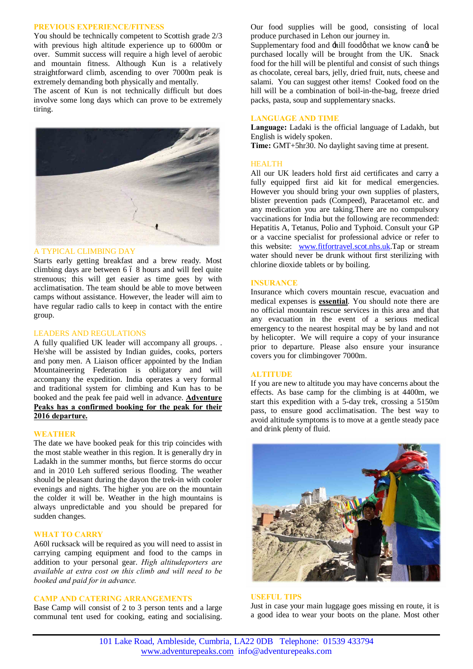#### **PREVIOUS EXPERIENCE/FITNESS**

You should be technically competent to Scottish grade 2/3 with previous high altitude experience up to 6000m or over. Summit success will require a high level of aerobic and mountain fitness. Although Kun is a relatively straightforward climb, ascending to over 7000m peak is extremely demanding both physically and mentally.

The ascent of Kun is not technically difficult but does involve some long days which can prove to be extremely tiring.



#### A TYPICAL CLIMBING DAY

Starts early getting breakfast and a brew ready. Most climbing days are between  $6\,6\,8$  hours and will feel quite strenuous; this will get easier as time goes by with acclimatisation. The team should be able to move between camps without assistance. However, the leader will aim to have regular radio calls to keep in contact with the entire group.

#### LEADERS AND REGULATIONS

A fully qualified UK leader will accompany all groups. . He/she will be assisted by Indian guides, cooks, porters and pony men. A Liaison officer appointed by the Indian Mountaineering Federation is obligatory and will accompany the expedition. India operates a very formal and traditional system for climbing and Kun has to be booked and the peak fee paid well in advance. **Adventure Peaks has a confirmed booking for the peak for their 2016 departure.**

# **WEATHER**

The date we have booked peak for this trip coincides with the most stable weather in this region. It is generally dry in Ladakh in the summer months, but fierce storms do occur and in 2010 Leh suffered serious flooding. The weather should be pleasant during the dayon the trek-in with cooler evenings and nights. The higher you are on the mountain the colder it will be. Weather in the high mountains is always unpredictable and you should be prepared for sudden changes.

# **WHAT TO CARRY**

A60l rucksack will be required as you will need to assist in carrying camping equipment and food to the camps in addition to your personal gear. *High altitudeporters are available at extra cost on this climb and will need to be booked and paid for in advance.*

# **CAMP AND CATERING ARRANGEMENTS**

Base Camp will consist of 2 to 3 person tents and a large communal tent used for cooking, eating and socialising. Our food supplies will be good, consisting of local produce purchased in Lehon our journey in.

Supplementary food and  $\pm$ hill foodø that we know cang be purchased locally will be brought from the UK. Snack food for the hill will be plentiful and consist of such things as chocolate, cereal bars, jelly, dried fruit, nuts, cheese and salami. You can suggest other items! Cooked food on the hill will be a combination of boil-in-the-bag, freeze dried packs, pasta, soup and supplementary snacks.

# **LANGUAGE AND TIME**

**Language:** Ladaki is the official language of Ladakh, but English is widely spoken.

**Time:** GMT+5hr30. No daylight saving time at present.

#### **HEALTH**

All our UK leaders hold first aid certificates and carry a fully equipped first aid kit for medical emergencies. However you should bring your own supplies of plasters, blister prevention pads (Compeed), Paracetamol etc. and any medication you are taking.There are no compulsory vaccinations for India but the following are recommended: Hepatitis A, Tetanus, Polio and Typhoid. Consult your GP or a vaccine specialist for professional advice or refer to this website: www.fitfortravel.scot.nhs.uk</u>.Tap or stream water should never be drunk without first sterilizing with chlorine dioxide tablets or by boiling.

# **INSURANCE**

Insurance which covers mountain rescue, evacuation and medical expenses is **essential**. You should note there are no official mountain rescue services in this area and that any evacuation in the event of a serious medical emergency to the nearest hospital may be by land and not by helicopter. We will require a copy of your insurance prior to departure. Please also ensure your insurance covers you for climbingover 7000m.

#### **ALTITUDE**

If you are new to altitude you may have concerns about the effects. As base camp for the climbing is at 4400m, we start this expedition with a 5-day trek, crossing a 5150m pass, to ensure good acclimatisation. The best way to avoid altitude symptoms is to move at a gentle steady pace and drink plenty of fluid.



#### **USEFUL TIPS**

Just in case your main luggage goes missing en route, it is a good idea to wear your boots on the plane. Most other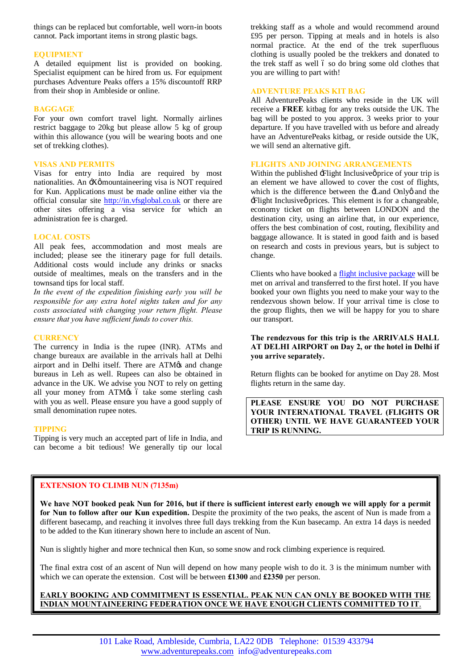things can be replaced but comfortable, well worn-in boots cannot. Pack important items in strong plastic bags.

# **EQUIPMENT**

A detailed equipment list is provided on booking. Specialist equipment can be hired from us. For equipment purchases Adventure Peaks offers a 15% discountoff RRP from their shop in Ambleside or online.

# **BAGGAGE**

For your own comfort travel light. Normally airlines restrict baggage to 20kg but please allow 5 kg of group within this allowance (you will be wearing boots and one set of trekking clothes).

# **VISAS AND PERMITS**

Visas for entry into India are required by most nationalities. An  $\div X\phi$  mountaineering visa is NOT required for Kun. Applications must be made online either via the official consular site [http://in.vfsglobal.co.uk](http://in.vfsglobal.co.uk/) or there are other sites offering a visa service for which an administration fee is charged.

# **LOCAL COSTS**

All peak fees, accommodation and most meals are included; please see the itinerary page for full details. Additional costs would include any drinks or snacks outside of mealtimes, meals on the transfers and in the townsand tips for local staff.

*In the event of the expedition finishing early you will be responsible for any extra hotel nights taken and for any costs associated with changing your return flight. Please ensure that you have sufficient funds to cover this.* 

# **CURRENCY**

The currency in India is the rupee (INR). ATMs and change bureaux are available in the arrivals hall at Delhi airport and in Delhi itself. There are ATM $\alpha$  and change bureaus in Leh as well. Rupees can also be obtained in advance in the UK. We advise you NOT to rely on getting all your money from ATM $\alpha$ s ó take some sterling cash with you as well. Please ensure you have a good supply of small denomination rupee notes.

#### **TIPPING**

Tipping is very much an accepted part of life in India, and can become a bit tedious! We generally tip our local

trekking staff as a whole and would recommend around £95 per person. Tipping at meals and in hotels is also normal practice. At the end of the trek superfluous clothing is usually pooled be the trekkers and donated to the trek staff as well 6 so do bring some old clothes that you are willing to part with!

# **ADVENTURE PEAKS KIT BAG**

All AdventurePeaks clients who reside in the UK will receive a **FREE** kitbag for any treks outside the UK. The bag will be posted to you approx. 3 weeks prior to your departure. If you have travelled with us before and already have an AdventurePeaks kitbag, or reside outside the UK, we will send an alternative gift.

# **FLIGHTS AND JOINING ARRANGEMENTS**

Within the published  $\pm$  Flight Inclusive price of your trip is an element we have allowed to cover the cost of flights, which is the difference between the  $\pm$  and Onlyo and the : Flight Inclusive prices. This element is for a changeable, economy ticket on flights between LONDON and the destination city, using an airline that, in our experience, offers the best combination of cost, routing, flexibility and baggage allowance. It is stated in good faith and is based on research and costs in previous years, but is subject to change.

Clients who have booked a [flight inclusive package](http://www.adventurepeaks.com/useful-info/flight-inclusive-or-exclusive) will be met on arrival and transferred to the first hotel. If you have booked your own flights you need to make your way to the rendezvous shown below. If your arrival time is close to the group flights, then we will be happy for you to share our transport.

# **The rendezvous for this trip is the ARRIVALS HALL AT DELHI AIRPORT on Day 2, or the hotel in Delhi if you arrive separately.**

Return flights can be booked for anytime on Day 28. Most flights return in the same day.

**PLEASE ENSURE YOU DO NOT PURCHASE YOUR INTERNATIONAL TRAVEL (FLIGHTS OR OTHER) UNTIL WE HAVE GUARANTEED YOUR TRIP IS RUNNING.**

# **EXTENSION TO CLIMB NUN (7135m)**

We have NOT booked peak Nun for 2016, but if there is sufficient interest early enough we will apply for a permit **for Nun to follow after our Kun expedition.** Despite the proximity of the two peaks, the ascent of Nun is made from a different basecamp, and reaching it involves three full days trekking from the Kun basecamp. An extra 14 days is needed to be added to the Kun itinerary shown here to include an ascent of Nun.

Nun is slightly higher and more technical then Kun, so some snow and rock climbing experience is required.

The final extra cost of an ascent of Nun will depend on how many people wish to do it. 3 is the minimum number with which we can operate the extension. Cost will be between **£1300** and **£2350** per person.

# **EARLY BOOKING AND COMMITMENT IS ESSENTIAL. PEAK NUN CAN ONLY BE BOOKED WITH THE INDIAN MOUNTAINEERING FEDERATION ONCE WE HAVE ENOUGH CLIENTS COMMITTED TO IT**.